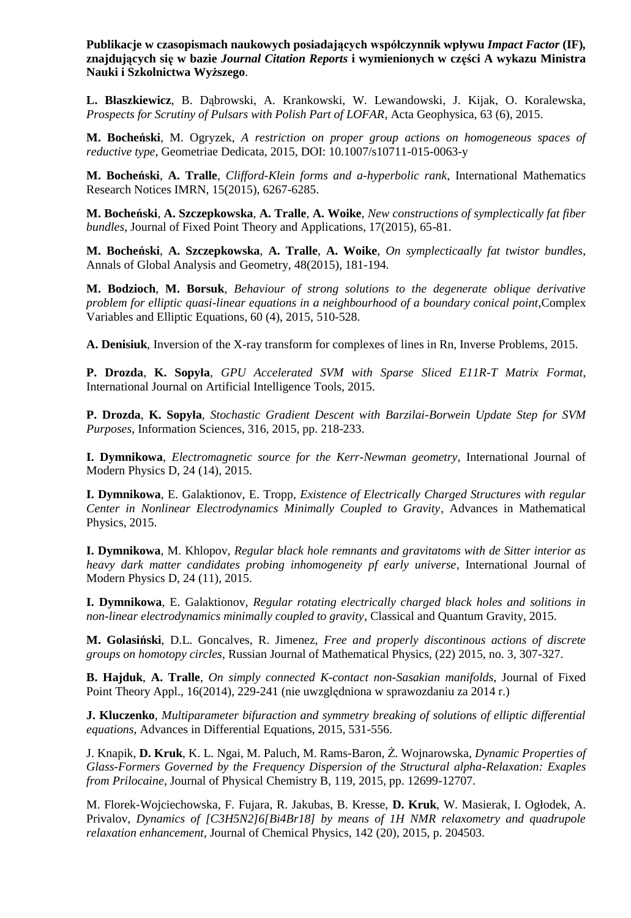**Publikacje w czasopismach naukowych posiadających współczynnik wpływu** *Impact Factor* **(IF)***,*  **znajdujących się w bazie** *Journal Citation Reports* **i wymienionych w części A wykazu Ministra Nauki i Szkolnictwa Wyższego**.

**L. Błaszkiewicz**, B. Dąbrowski, A. Krankowski, W. Lewandowski, J. Kijak, O. Koralewska, *Prospects for Scrutiny of Pulsars with Polish Part of LOFAR*, Acta Geophysica, 63 (6), 2015.

**M. Bocheński**, M. Ogryzek, *A restriction on proper group actions on homogeneous spaces of reductive type*, Geometriae Dedicata, 2015, DOI: 10.1007/s10711-015-0063-y

**M. Bocheński**, **A. Tralle**, *Clifford-Klein forms and a-hyperbolic rank*, International Mathematics Research Notices IMRN, 15(2015), 6267-6285.

**M. Bocheński**, **A. Szczepkowska**, **A. Tralle**, **A. Woike**, *New constructions of symplectically fat fiber bundles,* Journal of Fixed Point Theory and Applications, 17(2015), 65-81.

**M. Bocheński**, **A. Szczepkowska**, **A. Tralle**, **A. Woike**, *On symplecticaally fat twistor bundles*, Annals of Global Analysis and Geometry, 48(2015), 181-194.

**M. Bodzioch**, **M. Borsuk**, *Behaviour of strong solutions to the degenerate oblique derivative problem for elliptic quasi-linear equations in a neighbourhood of a boundary conical point*, Complex Variables and Elliptic Equations, 60 (4), 2015, 510-528.

**A. Denisiuk**, Inversion of the X-ray transform for complexes of lines in Rn, Inverse Problems, 2015.

**P. Drozda**, **K. Sopyła**, *GPU Accelerated SVM with Sparse Sliced E11R-T Matrix Format*, International Journal on Artificial Intelligence Tools, 2015.

**P. Drozda**, **K. Sopyła**, *Stochastic Gradient Descent with Barzilai-Borwein Update Step for SVM Purposes*, Information Sciences, 316, 2015, pp. 218-233.

**I. Dymnikowa**, *Electromagnetic source for the Kerr-Newman geometry*, International Journal of Modern Physics D, 24 (14), 2015.

**I. Dymnikowa**, E. Galaktionov, E. Tropp, *Existence of Electrically Charged Structures with regular Center in Nonlinear Electrodynamics Minimally Coupled to Gravity*, Advances in Mathematical Physics, 2015.

**I. Dymnikowa**, M. Khlopov, *Regular black hole remnants and gravitatoms with de Sitter interior as heavy dark matter candidates probing inhomogeneity pf early universe*, International Journal of Modern Physics D, 24 (11), 2015.

**I. Dymnikowa**, E. Galaktionov, *Regular rotating electrically charged black holes and solitions in non-linear electrodynamics minimally coupled to gravity*, Classical and Quantum Gravity, 2015.

**M. Golasiński**, D.L. Goncalves, R. Jimenez, *Free and properly discontinous actions of discrete groups on homotopy circles*, Russian Journal of Mathematical Physics, (22) 2015, no. 3, 307-327.

**B. Hajduk**, **A. Tralle**, *On simply connected K-contact non-Sasakian manifolds*, Journal of Fixed Point Theory Appl., 16(2014), 229-241 (nie uwzględniona w sprawozdaniu za 2014 r.)

**J. Kluczenko**, *Multiparameter bifuraction and symmetry breaking of solutions of elliptic differential equations*, Advances in Differential Equations, 2015, 531-556.

J. Knapik, **D. Kruk**, K. L. Ngai, M. Paluch, M. Rams-Baron, Ż. Wojnarowska, *Dynamic Properties of Glass-Formers Governed by the Frequency Dispersion of the Structural alpha-Relaxation: Exaples from Prilocaine*, Journal of Physical Chemistry B, 119, 2015, pp. 12699-12707.

M. Florek-Wojciechowska, F. Fujara, R. Jakubas, B. Kresse, **D. Kruk**, W. Masierak, I. Ogłodek, A. Privalov, *Dynamics of [C3H5N2]6[Bi4Br18] by means of 1H NMR relaxometry and quadrupole relaxation enhancement*, Journal of Chemical Physics, 142 (20), 2015, p. 204503.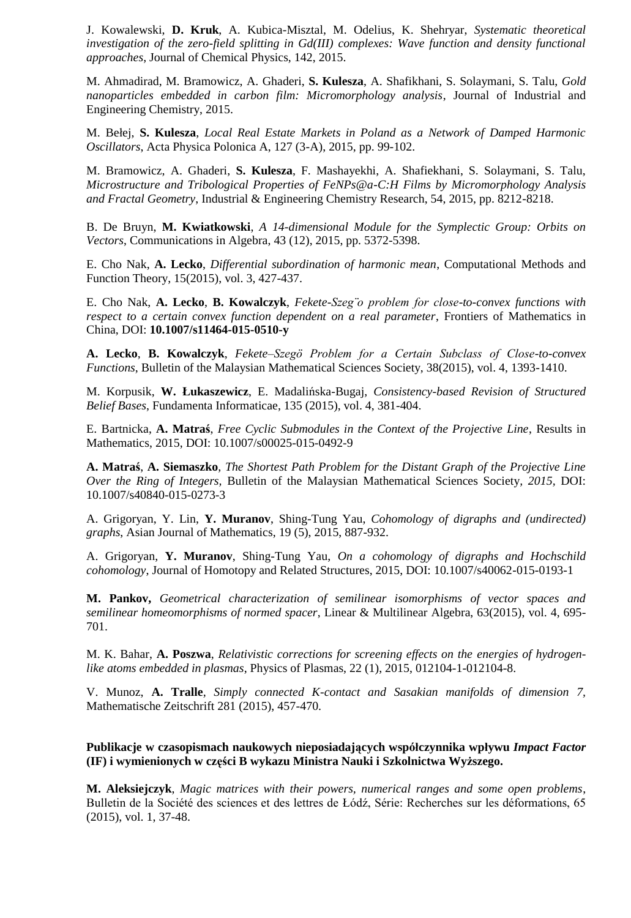J. Kowalewski, **D. Kruk**, A. Kubica-Misztal, M. Odelius, K. Shehryar, *Systematic theoretical investigation of the zero-field splitting in Gd(III) complexes: Wave function and density functional approaches*, Journal of Chemical Physics, 142, 2015.

M. Ahmadirad, M. Bramowicz, A. Ghaderi, **S. Kulesza**, A. Shafikhani, S. Solaymani, S. Talu, *Gold nanoparticles embedded in carbon film: Micromorphology analysis*, Journal of Industrial and Engineering Chemistry, 2015.

M. Bełej, **S. Kulesza**, *Local Real Estate Markets in Poland as a Network of Damped Harmonic Oscillators*, Acta Physica Polonica A, 127 (3-A), 2015, pp. 99-102.

M. Bramowicz, A. Ghaderi, **S. Kulesza**, F. Mashayekhi, A. Shafiekhani, S. Solaymani, S. Talu, *Microstructure and Tribological Properties of FeNPs@a-C:H Films by Micromorphology Analysis and Fractal Geometry*, Industrial & Engineering Chemistry Research, 54, 2015, pp. 8212-8218.

B. De Bruyn, **M. Kwiatkowski**, *A 14-dimensional Module for the Symplectic Group: Orbits on Vectors*, Communications in Algebra, 43 (12), 2015, pp. 5372-5398.

E. Cho Nak, **A. Lecko**, *Differential subordination of harmonic mean*, Computational Methods and Function Theory, 15(2015), vol. 3, 427-437.

E. Cho Nak, **A. Lecko**, **B. Kowalczyk**, *Fekete-Szeg¨o problem for close-to-convex functions with respect to a certain convex function dependent on a real parameter*, Frontiers of Mathematics in China, DOI: **10.1007/s11464-015-0510-y** 

**A. Lecko**, **B. Kowalczyk**, *Fekete–Szegö Problem for a Certain Subclass of Close-to-convex Functions*, Bulletin of the Malaysian Mathematical Sciences Society, 38(2015), vol. 4, 1393-1410.

M. Korpusik, **W. Łukaszewicz**, E. Madalińska-Bugaj, *Consistency-based Revision of Structured Belief Bases*, Fundamenta Informaticae, 135 (2015), vol. 4, 381-404.

E. Bartnicka, **A. Matraś**, *Free Cyclic Submodules in the Context of the Projective Line*, Results in Mathematics, 2015, DOI: 10.1007/s00025-015-0492-9

**A. Matraś**, **A. Siemaszko***, The Shortest Path Problem for the Distant Graph of the Projective Line Over the Ring of Integers,* Bulletin of the Malaysian Mathematical Sciences Society*, 2015,* DOI: 10.1007/s40840-015-0273-3

A. Grigoryan, Y. Lin, **Y. Muranov**, Shing-Tung Yau, *Cohomology of digraphs and (undirected) graphs*, Asian Journal of Mathematics, 19 (5), 2015, 887-932.

A. Grigoryan, **Y. Muranov**, Shing-Tung Yau, *On a cohomology of digraphs and Hochschild cohomology*, Journal of Homotopy and Related Structures, 2015, DOI: 10.1007/s40062-015-0193-1

**M. Pankov,** *Geometrical characterization of semilinear isomorphisms of vector spaces and semilinear homeomorphisms of normed spacer*, Linear & Multilinear Algebra, 63(2015), vol. 4, 695- 701.

M. K. Bahar, **A. Poszwa**, *Relativistic corrections for screening effects on the energies of hydrogenlike atoms embedded in plasmas*, Physics of Plasmas, 22 (1), 2015, 012104-1-012104-8.

V. Munoz, **A. Tralle**, *Simply connected K-contact and Sasakian manifolds of dimension 7,*  Mathematische Zeitschrift 281 (2015), 457-470.

## **Publikacje w czasopismach naukowych nieposiadających współczynnika wpływu** *Impact Factor*  **(IF) i wymienionych w części B wykazu Ministra Nauki i Szkolnictwa Wyższego.**

**M. Aleksiejczyk**, *Magic matrices with their powers, numerical ranges and some open problems*, Bulletin de la Société des sciences et des lettres de Łódź, Série: Recherches sur les déformations, 65 (2015), vol. 1, 37-48.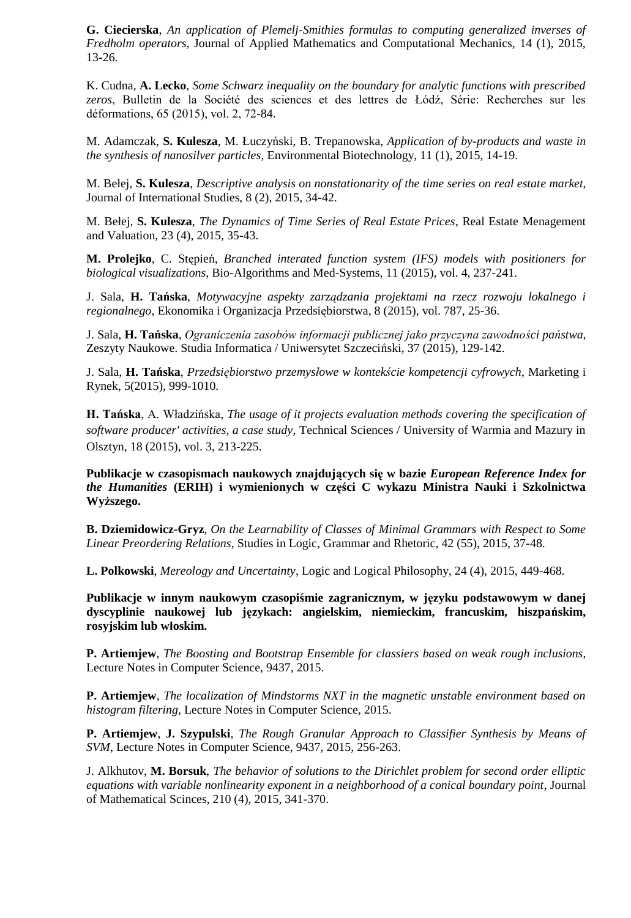**G. Ciecierska**, *An application of Plemelj-Smithies formulas to computing generalized inverses of Fredholm operators*, Journal of Applied Mathematics and Computational Mechanics, 14 (1), 2015, 13-26.

K. Cudna, **A. Lecko**, *Some Schwarz inequality on the boundary for analytic functions with prescribed zeros*, Bulletin de la Société des sciences et des lettres de Łódź, Série: Recherches sur les déformations, 65 (2015), vol. 2, 72-84.

M. Adamczak, **S. Kulesza**, M. Łuczyński, B. Trepanowska, *Application of by-products and waste in the synthesis of nanosilver particles*, Environmental Biotechnology, 11 (1), 2015, 14-19.

M. Bełej, **S. Kulesza**, *Descriptive analysis on nonstationarity of the time series on real estate market*, Journal of International Studies, 8 (2), 2015, 34-42.

M. Bełej, **S. Kulesza**, *The Dynamics of Time Series of Real Estate Prices*, Real Estate Menagement and Valuation, 23 (4), 2015, 35-43.

**M. Prolejko**, C. Stępień, *Branched interated function system (IFS) models with positioners for biological visualizations*, Bio-Algorithms and Med-Systems, 11 (2015), vol. 4, 237-241.

J. Sala, **H. Tańska**, *Motywacyjne aspekty zarządzania projektami na rzecz rozwoju lokalnego i regionalnego*, Ekonomika i Organizacja Przedsiębiorstwa, 8 (2015), vol. 787, 25-36.

J. Sala, **H. Tańska**, *Ograniczenia zasobów informacji publicznej jako przyczyna zawodności państwa*, Zeszyty Naukowe. Studia Informatica / Uniwersytet Szczeciński, 37 (2015), 129-142.

J. Sala, **H. Tańska**, *Przedsiębiorstwo przemysłowe w kontekście kompetencji cyfrowych*, Marketing i Rynek, 5(2015), 999-1010.

**H. Tańska**, A. Władzińska, *The usage of it projects evaluation methods covering the specification of software producer' activities, a case study*, Technical Sciences / University of Warmia and Mazury in Olsztyn, 18 (2015), vol. 3, 213-225.

**Publikacje w czasopismach naukowych znajdujących się w bazie** *European Reference Index for the Humanities* **(ERIH) i wymienionych w części C wykazu Ministra Nauki i Szkolnictwa Wyższego.** 

**B. Dziemidowicz-Gryz**, *On the Learnability of Classes of Minimal Grammars with Respect to Some Linear Preordering Relations*, Studies in Logic, Grammar and Rhetoric, 42 (55), 2015, 37-48.

**L. Polkowski**, *Mereology and Uncertainty*, Logic and Logical Philosophy, 24 (4), 2015, 449-468.

**Publikacje w innym naukowym czasopiśmie zagranicznym, w języku podstawowym w danej dyscyplinie naukowej lub językach: angielskim, niemieckim, francuskim, hiszpańskim, rosyjskim lub włoskim.** 

**P. Artiemjew**, *The Boosting and Bootstrap Ensemble for classiers based on weak rough inclusions*, Lecture Notes in Computer Science, 9437, 2015.

**P. Artiemjew**, *The localization of Mindstorms NXT in the magnetic unstable environment based on histogram filtering*, Lecture Notes in Computer Science, 2015.

**P. Artiemjew**, **J. Szypulski**, *The Rough Granular Approach to Classifier Synthesis by Means of SVM*, Lecture Notes in Computer Science, 9437, 2015, 256-263.

J. Alkhutov, **M. Borsuk**, *The behavior of solutions to the Dirichlet problem for second order elliptic equations with variable nonlinearity exponent in a neighborhood of a conical boundary point*, Journal of Mathematical Scinces, 210 (4), 2015, 341-370.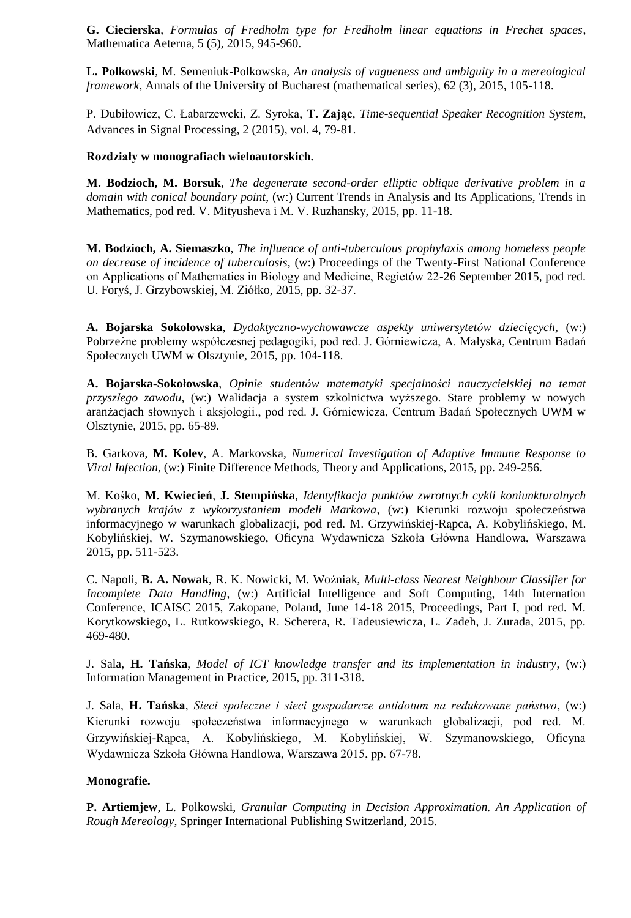**G. Ciecierska**, *Formulas of Fredholm type for Fredholm linear equations in Frechet spaces*, Mathematica Aeterna, 5 (5), 2015, 945-960.

**L. Polkowski**, M. Semeniuk-Polkowska, *An analysis of vagueness and ambiguity in a mereological framework*, Annals of the University of Bucharest (mathematical series), 62 (3), 2015, 105-118.

P. Dubiłowicz, C. Łabarzewcki, Z. Syroka, **T. Zając**, *Time-sequential Speaker Recognition System*, Advances in Signal Processing, 2 (2015), vol. 4, 79-81.

## **Rozdziały w monografiach wieloautorskich.**

**M. Bodzioch, M. Borsuk**, *The degenerate second-order elliptic oblique derivative problem in a domain with conical boundary point*, (w:) Current Trends in Analysis and Its Applications, Trends in Mathematics, pod red. V. Mityusheva i M. V. Ruzhansky, 2015, pp. 11-18.

**M. Bodzioch, A. Siemaszko**, *The influence of anti-tuberculous prophylaxis among homeless people on decrease of incidence of tuberculosis*, (w:) Proceedings of the Twenty-First National Conference on Applications of Mathematics in Biology and Medicine, Regietów 22-26 September 2015, pod red. U. Foryś, J. Grzybowskiej, M. Ziółko, 2015, pp. 32-37.

**A. Bojarska Sokołowska**, *Dydaktyczno-wychowawcze aspekty uniwersytetów dziecięcych*, (w:) Pobrzeżne problemy współczesnej pedagogiki, pod red. J. Górniewicza, A. Małyska, Centrum Badań Społecznych UWM w Olsztynie, 2015, pp. 104-118.

**A. Bojarska-Sokołowska**, *Opinie studentów matematyki specjalności nauczycielskiej na temat przyszłego zawodu*, (w:) Walidacja a system szkolnictwa wyższego. Stare problemy w nowych aranżacjach słownych i aksjologii., pod red. J. Górniewicza, Centrum Badań Społecznych UWM w Olsztynie, 2015, pp. 65-89.

B. Garkova, **M. Kolev**, A. Markovska, *Numerical Investigation of Adaptive Immune Response to Viral Infection*, (w:) Finite Difference Methods, Theory and Applications, 2015, pp. 249-256.

M. Kośko, **M. Kwiecień**, **J. Stempińska**, *Identyfikacja punktów zwrotnych cykli koniunkturalnych wybranych krajów z wykorzystaniem modeli Markowa*, (w:) Kierunki rozwoju społeczeństwa informacyjnego w warunkach globalizacji, pod red. M. Grzywińskiej-Rąpca, A. Kobylińskiego, M. Kobylińskiej, W. Szymanowskiego, Oficyna Wydawnicza Szkoła Główna Handlowa, Warszawa 2015, pp. 511-523.

C. Napoli, **B. A. Nowak**, R. K. Nowicki, M. Woźniak, *Multi-class Nearest Neighbour Classifier for Incomplete Data Handling*, (w:) Artificial Intelligence and Soft Computing, 14th Internation Conference, ICAISC 2015, Zakopane, Poland, June 14-18 2015, Proceedings, Part I, pod red. M. Korytkowskiego, L. Rutkowskiego, R. Scherera, R. Tadeusiewicza, L. Zadeh, J. Zurada, 2015, pp. 469-480.

J. Sala, **H. Tańska**, *Model of ICT knowledge transfer and its implementation in industry*, (w:) Information Management in Practice, 2015, pp. 311-318.

J. Sala, **H. Tańska**, *Sieci społeczne i sieci gospodarcze antidotum na redukowane państwo*, (w:) Kierunki rozwoju społeczeństwa informacyjnego w warunkach globalizacji, pod red. M. Grzywińskiej-Rąpca, A. Kobylińskiego, M. Kobylińskiej, W. Szymanowskiego, Oficyna Wydawnicza Szkoła Główna Handlowa, Warszawa 2015, pp. 67-78.

## **Monografie.**

**P. Artiemjew**, L. Polkowski, *Granular Computing in Decision Approximation. An Application of Rough Mereology*, Springer International Publishing Switzerland, 2015.